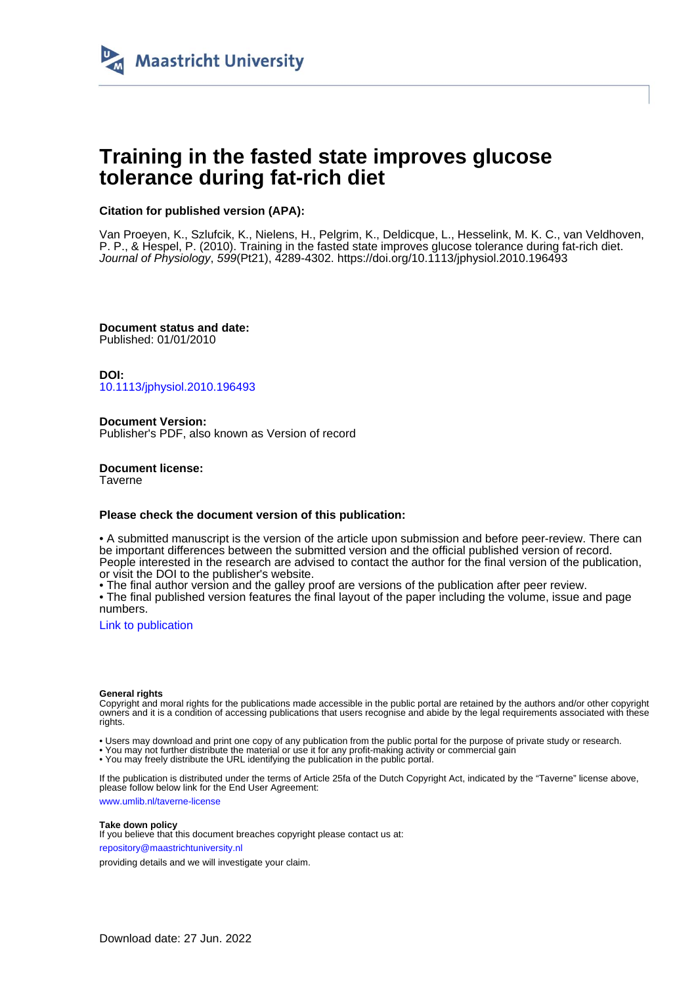

# **Training in the fasted state improves glucose tolerance during fat-rich diet**

## **Citation for published version (APA):**

Van Proeyen, K., Szlufcik, K., Nielens, H., Pelgrim, K., Deldicque, L., Hesselink, M. K. C., van Veldhoven, P. P., & Hespel, P. (2010). Training in the fasted state improves glucose tolerance during fat-rich diet. Journal of Physiology, 599(Pt21), 4289-4302.<https://doi.org/10.1113/jphysiol.2010.196493>

**Document status and date:** Published: 01/01/2010

**DOI:** [10.1113/jphysiol.2010.196493](https://doi.org/10.1113/jphysiol.2010.196493)

**Document Version:** Publisher's PDF, also known as Version of record

**Document license: Taverne** 

### **Please check the document version of this publication:**

• A submitted manuscript is the version of the article upon submission and before peer-review. There can be important differences between the submitted version and the official published version of record. People interested in the research are advised to contact the author for the final version of the publication, or visit the DOI to the publisher's website.

• The final author version and the galley proof are versions of the publication after peer review.

• The final published version features the final layout of the paper including the volume, issue and page numbers.

[Link to publication](https://cris.maastrichtuniversity.nl/en/publications/b209d7f9-2dad-4b7d-8023-6176eb8a4203)

#### **General rights**

Copyright and moral rights for the publications made accessible in the public portal are retained by the authors and/or other copyright owners and it is a condition of accessing publications that users recognise and abide by the legal requirements associated with these rights.

• Users may download and print one copy of any publication from the public portal for the purpose of private study or research.

• You may not further distribute the material or use it for any profit-making activity or commercial gain

• You may freely distribute the URL identifying the publication in the public portal.

If the publication is distributed under the terms of Article 25fa of the Dutch Copyright Act, indicated by the "Taverne" license above, please follow below link for the End User Agreement:

www.umlib.nl/taverne-license

#### **Take down policy**

If you believe that this document breaches copyright please contact us at: repository@maastrichtuniversity.nl

providing details and we will investigate your claim.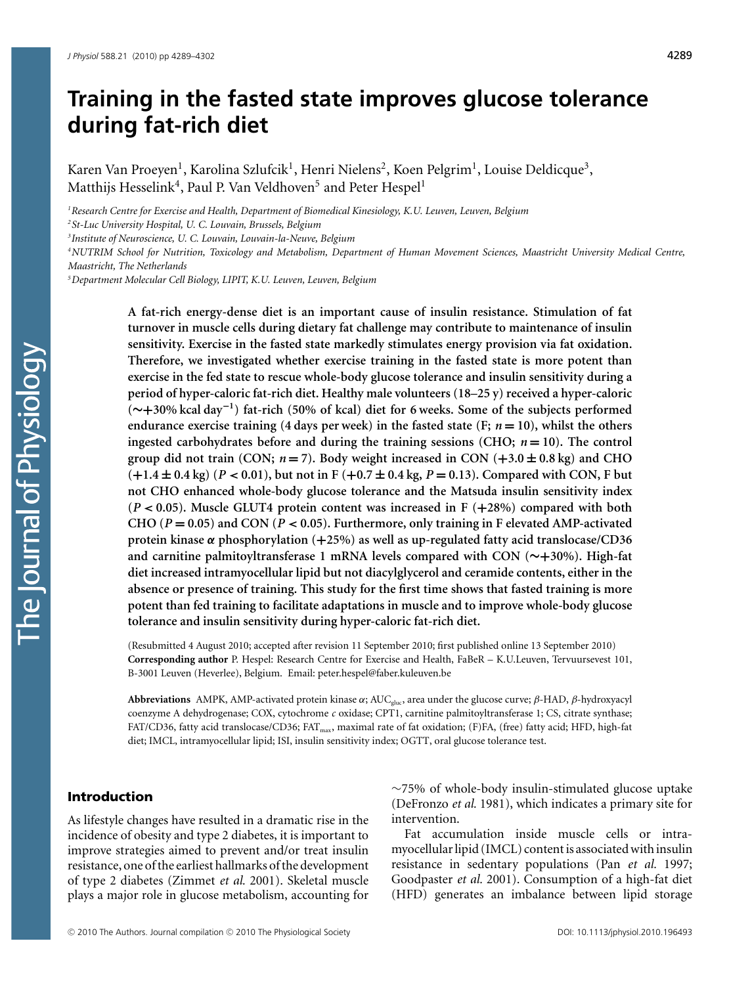# **Training in the fasted state improves glucose tolerance during fat-rich diet**

Karen Van Proeyen<sup>1</sup>, Karolina Szlufcik<sup>1</sup>, Henri Nielens<sup>2</sup>, Koen Pelgrim<sup>1</sup>, Louise Deldicque<sup>3</sup>, Matthijs Hesselink<sup>4</sup>, Paul P. Van Veldhoven<sup>5</sup> and Peter Hespel<sup>1</sup>

*1 Research Centre for Exercise and Health, Department of Biomedical Kinesiology, K.U. Leuven, Leuven, Belgium*

*2 St-Luc University Hospital, U. C. Louvain, Brussels, Belgium*

*3 Institute of Neuroscience, U. C. Louvain, Louvain-la-Neuve, Belgium*

*4 NUTRIM School for Nutrition, Toxicology and Metabolism, Department of Human Movement Sciences, Maastricht University Medical Centre, Maastricht, The Netherlands*

*5 Department Molecular Cell Biology, LIPIT, K.U. Leuven, Leuven, Belgium*

**A fat-rich energy-dense diet is an important cause of insulin resistance. Stimulation of fat turnover in muscle cells during dietary fat challenge may contribute to maintenance of insulin sensitivity. Exercise in the fasted state markedly stimulates energy provision via fat oxidation. Therefore, we investigated whether exercise training in the fasted state is more potent than exercise in the fed state to rescue whole-body glucose tolerance and insulin sensitivity during a period of hyper-caloric fat-rich diet. Healthy male volunteers (18–25 y) received a hyper-caloric (∼+30% kcal day−<sup>1</sup>) fat-rich (50% of kcal) diet for 6 weeks. Some of the subjects performed endurance exercise training (4 days per week) in the fasted state (F;**  $n = 10$ **), whilst the others ingested carbohydrates before and during the training sessions (CHO;** *n* **= 10). The control group did not train (CON;**  $n = 7$ **). Body weight increased in CON**  $(+3.0 \pm 0.8 \text{ kg})$  **and CHO**  $(+1.4 \pm 0.4 \text{ kg})$   $(P < 0.01)$ , but not in F $(+0.7 \pm 0.4 \text{ kg}, P = 0.13)$ . Compared with CON, F but **not CHO enhanced whole-body glucose tolerance and the Matsuda insulin sensitivity index (***P <* **0.05). Muscle GLUT4 protein content was increased in F (+28%) compared with both** CHO ( $P = 0.05$ ) and CON ( $P < 0.05$ ). Furthermore, only training in F elevated AMP-activated **protein kinase** *α* **phosphorylation (+25%) as well as up-regulated fatty acid translocase/CD36 and carnitine palmitoyltransferase 1 mRNA levels compared with CON (∼+30%). High-fat diet increased intramyocellular lipid but not diacylglycerol and ceramide contents, either in the absence or presence of training. This study for the first time shows that fasted training is more potent than fed training to facilitate adaptations in muscle and to improve whole-body glucose tolerance and insulin sensitivity during hyper-caloric fat-rich diet.**

(Resubmitted 4 August 2010; accepted after revision 11 September 2010; first published online 13 September 2010) **Corresponding author** P. Hespel: Research Centre for Exercise and Health, FaBeR – K.U.Leuven, Tervuursevest 101, B-3001 Leuven (Heverlee), Belgium. Email: peter.hespel@faber.kuleuven.be

**Abbreviations** AMPK, AMP-activated protein kinase α; AUCgluc, area under the glucose curve; β-HAD, β-hydroxyacyl coenzyme A dehydrogenase; COX, cytochrome *c* oxidase; CPT1, carnitine palmitoyltransferase 1; CS, citrate synthase; FAT/CD36, fatty acid translocase/CD36; FAT<sub>max</sub>, maximal rate of fat oxidation; (F)FA, (free) fatty acid; HFD, high-fat diet; IMCL, intramyocellular lipid; ISI, insulin sensitivity index; OGTT, oral glucose tolerance test.

### Introduction

As lifestyle changes have resulted in a dramatic rise in the incidence of obesity and type 2 diabetes, it is important to improve strategies aimed to prevent and/or treat insulin resistance, one of the earliest hallmarks of the development of type 2 diabetes (Zimmet *et al.* 2001). Skeletal muscle plays a major role in glucose metabolism, accounting for

∼75% of whole-body insulin-stimulated glucose uptake (DeFronzo *et al.* 1981), which indicates a primary site for intervention.

Fat accumulation inside muscle cells or intramyocellular lipid (IMCL) content is associated with insulin resistance in sedentary populations (Pan *et al.* 1997; Goodpaster *et al.* 2001). Consumption of a high-fat diet (HFD) generates an imbalance between lipid storage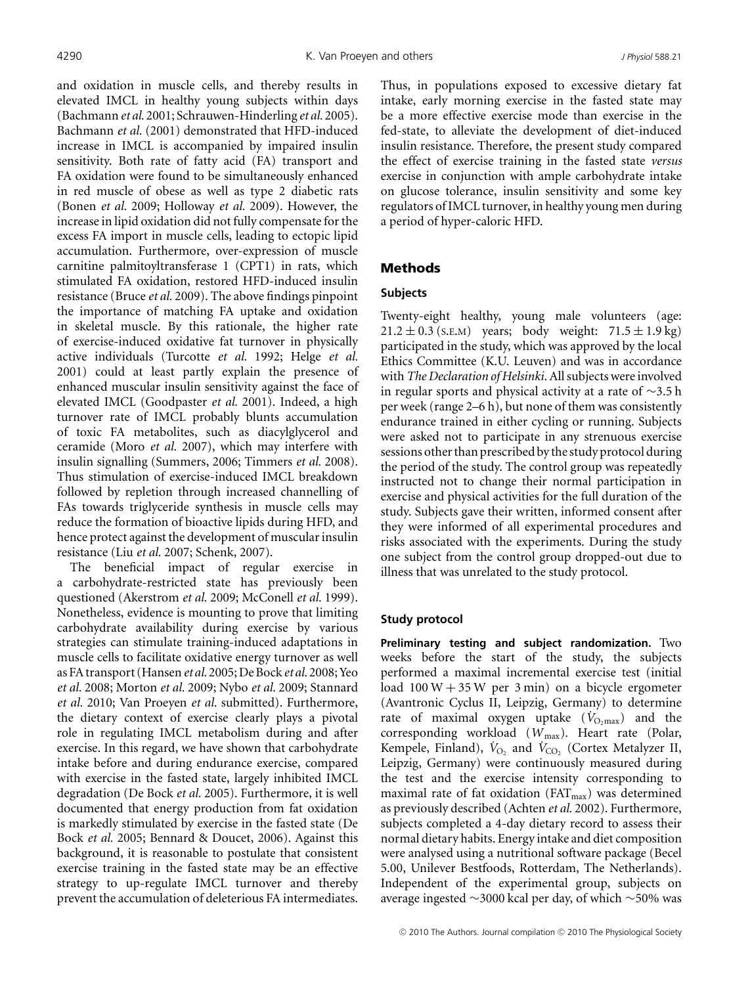and oxidation in muscle cells, and thereby results in elevated IMCL in healthy young subjects within days (Bachmann *et al.* 2001; Schrauwen-Hinderling *et al.* 2005). Bachmann *et al.* (2001) demonstrated that HFD-induced increase in IMCL is accompanied by impaired insulin sensitivity. Both rate of fatty acid (FA) transport and FA oxidation were found to be simultaneously enhanced in red muscle of obese as well as type 2 diabetic rats (Bonen *et al.* 2009; Holloway *et al.* 2009). However, the increase in lipid oxidation did not fully compensate for the excess FA import in muscle cells, leading to ectopic lipid accumulation. Furthermore, over-expression of muscle carnitine palmitoyltransferase 1 (CPT1) in rats, which stimulated FA oxidation, restored HFD-induced insulin resistance (Bruce *et al.* 2009). The above findings pinpoint the importance of matching FA uptake and oxidation in skeletal muscle. By this rationale, the higher rate of exercise-induced oxidative fat turnover in physically active individuals (Turcotte *et al.* 1992; Helge *et al.* 2001) could at least partly explain the presence of enhanced muscular insulin sensitivity against the face of elevated IMCL (Goodpaster *et al.* 2001). Indeed, a high turnover rate of IMCL probably blunts accumulation of toxic FA metabolites, such as diacylglycerol and ceramide (Moro *et al.* 2007), which may interfere with insulin signalling (Summers, 2006; Timmers *et al.* 2008). Thus stimulation of exercise-induced IMCL breakdown followed by repletion through increased channelling of FAs towards triglyceride synthesis in muscle cells may reduce the formation of bioactive lipids during HFD, and hence protect against the development of muscular insulin resistance (Liu *et al.* 2007; Schenk, 2007).

The beneficial impact of regular exercise in a carbohydrate-restricted state has previously been questioned (Akerstrom *et al.* 2009; McConell *et al.* 1999). Nonetheless, evidence is mounting to prove that limiting carbohydrate availability during exercise by various strategies can stimulate training-induced adaptations in muscle cells to facilitate oxidative energy turnover as well as FA transport (Hansen*et al.* 2005; De Bock *et al.* 2008; Yeo *et al.* 2008; Morton *et al.* 2009; Nybo *et al.* 2009; Stannard *et al.* 2010; Van Proeyen *et al.* submitted). Furthermore, the dietary context of exercise clearly plays a pivotal role in regulating IMCL metabolism during and after exercise. In this regard, we have shown that carbohydrate intake before and during endurance exercise, compared with exercise in the fasted state, largely inhibited IMCL degradation (De Bock *et al.* 2005). Furthermore, it is well documented that energy production from fat oxidation is markedly stimulated by exercise in the fasted state (De Bock *et al.* 2005; Bennard & Doucet, 2006). Against this background, it is reasonable to postulate that consistent exercise training in the fasted state may be an effective strategy to up-regulate IMCL turnover and thereby prevent the accumulation of deleterious FA intermediates. Thus, in populations exposed to excessive dietary fat intake, early morning exercise in the fasted state may be a more effective exercise mode than exercise in the fed-state, to alleviate the development of diet-induced insulin resistance. Therefore, the present study compared the effect of exercise training in the fasted state *versus* exercise in conjunction with ample carbohydrate intake on glucose tolerance, insulin sensitivity and some key regulators of IMCL turnover, in healthy young men during a period of hyper-caloric HFD.

# Methods

# **Subjects**

Twenty-eight healthy, young male volunteers (age:  $21.2 \pm 0.3$  (s.e.m) years; body weight:  $71.5 \pm 1.9$  kg) participated in the study, which was approved by the local Ethics Committee (K.U. Leuven) and was in accordance with *The Declaration of Helsinki*. All subjects were involved in regular sports and physical activity at a rate of ∼3.5 h per week (range 2–6 h), but none of them was consistently endurance trained in either cycling or running. Subjects were asked not to participate in any strenuous exercise sessions other than prescribed by the study protocol during the period of the study. The control group was repeatedly instructed not to change their normal participation in exercise and physical activities for the full duration of the study. Subjects gave their written, informed consent after they were informed of all experimental procedures and risks associated with the experiments. During the study one subject from the control group dropped-out due to illness that was unrelated to the study protocol.

# **Study protocol**

**Preliminary testing and subject randomization.** Two weeks before the start of the study, the subjects performed a maximal incremental exercise test (initial load  $100 W + 35 W$  per 3 min) on a bicycle ergometer (Avantronic Cyclus II, Leipzig, Germany) to determine rate of maximal oxygen uptake  $(V_{O,\text{max}})$  and the corresponding workload (*W*max). Heart rate (Polar, Kempele, Finland),  $\dot{V}_{\text{O}_2}$  and  $\dot{V}_{\text{CO}_2}$  (Cortex Metalyzer II, Leipzig, Germany) were continuously measured during the test and the exercise intensity corresponding to maximal rate of fat oxidation ( $FAT<sub>max</sub>$ ) was determined as previously described (Achten *et al.* 2002). Furthermore, subjects completed a 4-day dietary record to assess their normal dietary habits. Energy intake and diet composition were analysed using a nutritional software package (Becel 5.00, Unilever Bestfoods, Rotterdam, The Netherlands). Independent of the experimental group, subjects on average ingested ∼3000 kcal per day, of which ∼50% was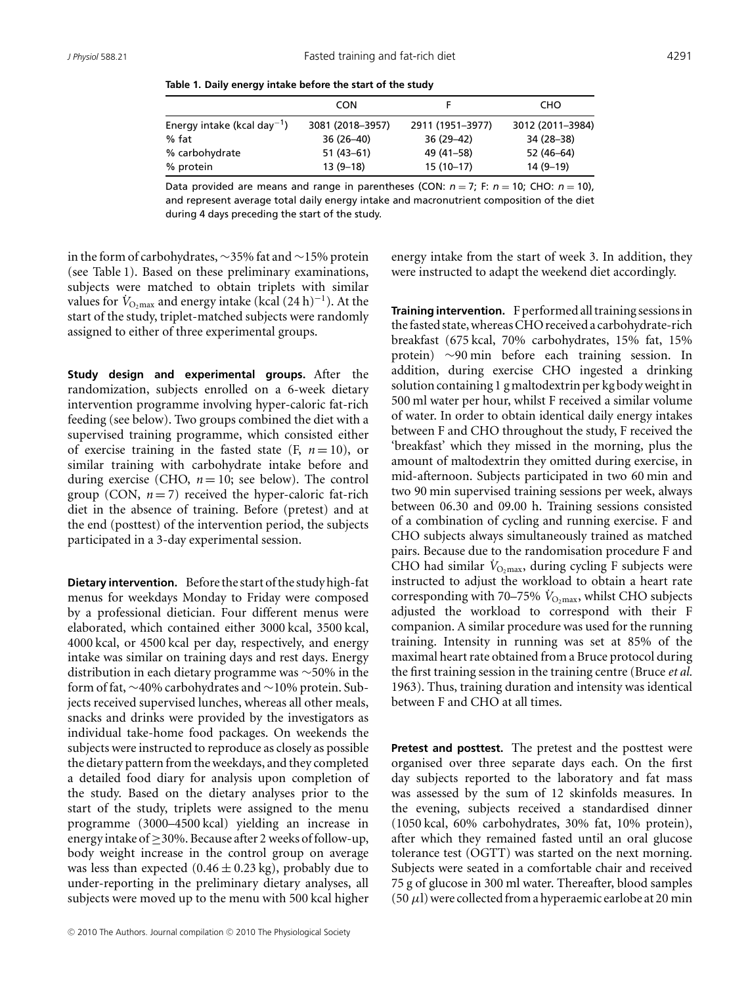|                                         | <b>CON</b>       |                  | CHO              |
|-----------------------------------------|------------------|------------------|------------------|
| Energy intake (kcal day <sup>-1</sup> ) | 3081 (2018-3957) | 2911 (1951-3977) | 3012 (2011-3984) |
| $%$ fat                                 | $36(26-40)$      | $36(29-42)$      | 34 (28-38)       |
| % carbohydrate                          | $51(43-61)$      | 49 (41–58)       | 52 (46-64)       |
| % protein                               | $13(9-18)$       | $15(10-17)$      | $14(9-19)$       |

**Table 1. Daily energy intake before the start of the study**

Data provided are means and range in parentheses (CON:  $n = 7$ ; F:  $n = 10$ ; CHO:  $n = 10$ ), and represent average total daily energy intake and macronutrient composition of the diet during 4 days preceding the start of the study.

in the form of carbohydrates, ∼35% fat and ∼15% protein (see Table 1). Based on these preliminary examinations, subjects were matched to obtain triplets with similar values for  $\dot{V}_{\text{O,max}}$  and energy intake (kcal  $(24 \text{ h})^{-1}$ ). At the start of the study, triplet-matched subjects were randomly assigned to either of three experimental groups.

**Study design and experimental groups.** After the randomization, subjects enrolled on a 6-week dietary intervention programme involving hyper-caloric fat-rich feeding (see below). Two groups combined the diet with a supervised training programme, which consisted either of exercise training in the fasted state  $(F, n = 10)$ , or similar training with carbohydrate intake before and during exercise (CHO,  $n = 10$ ; see below). The control group (CON,  $n = 7$ ) received the hyper-caloric fat-rich diet in the absence of training. Before (pretest) and at the end (posttest) of the intervention period, the subjects participated in a 3-day experimental session.

**Dietary intervention.** Before the start of the study high-fat menus for weekdays Monday to Friday were composed by a professional dietician. Four different menus were elaborated, which contained either 3000 kcal, 3500 kcal, 4000 kcal, or 4500 kcal per day, respectively, and energy intake was similar on training days and rest days. Energy distribution in each dietary programme was ∼50% in the form of fat, ∼40% carbohydrates and ∼10% protein. Subjects received supervised lunches, whereas all other meals, snacks and drinks were provided by the investigators as individual take-home food packages. On weekends the subjects were instructed to reproduce as closely as possible the dietary pattern from the weekdays, and they completed a detailed food diary for analysis upon completion of the study. Based on the dietary analyses prior to the start of the study, triplets were assigned to the menu programme (3000–4500 kcal) yielding an increase in energy intake of≥30%. Because after 2 weeks offollow-up, body weight increase in the control group on average was less than expected  $(0.46 \pm 0.23 \text{ kg})$ , probably due to under-reporting in the preliminary dietary analyses, all subjects were moved up to the menu with 500 kcal higher

energy intake from the start of week 3. In addition, they were instructed to adapt the weekend diet accordingly.

**Training intervention.** F performed all training sessions in thefasted state,whereas CHO received a carbohydrate-rich breakfast (675 kcal, 70% carbohydrates, 15% fat, 15% protein) ∼90 min before each training session. In addition, during exercise CHO ingested a drinking solution containing 1 g maltodextrin per kg body weight in 500 ml water per hour, whilst F received a similar volume of water. In order to obtain identical daily energy intakes between F and CHO throughout the study, F received the 'breakfast' which they missed in the morning, plus the amount of maltodextrin they omitted during exercise, in mid-afternoon. Subjects participated in two 60 min and two 90 min supervised training sessions per week, always between 06.30 and 09.00 h. Training sessions consisted of a combination of cycling and running exercise. F and CHO subjects always simultaneously trained as matched pairs. Because due to the randomisation procedure F and CHO had similar  $V_{\text{O,max}}$ , during cycling F subjects were instructed to adjust the workload to obtain a heart rate corresponding with 70–75%  $V_{\text{O}_2\text{max}}$ , whilst CHO subjects adjusted the workload to correspond with their F companion. A similar procedure was used for the running training. Intensity in running was set at 85% of the maximal heart rate obtained from a Bruce protocol during the first training session in the training centre (Bruce *et al.* 1963). Thus, training duration and intensity was identical between F and CHO at all times.

**Pretest and posttest.** The pretest and the posttest were organised over three separate days each. On the first day subjects reported to the laboratory and fat mass was assessed by the sum of 12 skinfolds measures. In the evening, subjects received a standardised dinner (1050 kcal, 60% carbohydrates, 30% fat, 10% protein), after which they remained fasted until an oral glucose tolerance test (OGTT) was started on the next morning. Subjects were seated in a comfortable chair and received 75 g of glucose in 300 ml water. Thereafter, blood samples  $(50 \mu l)$  were collected from a hyperaemic earlobe at 20 min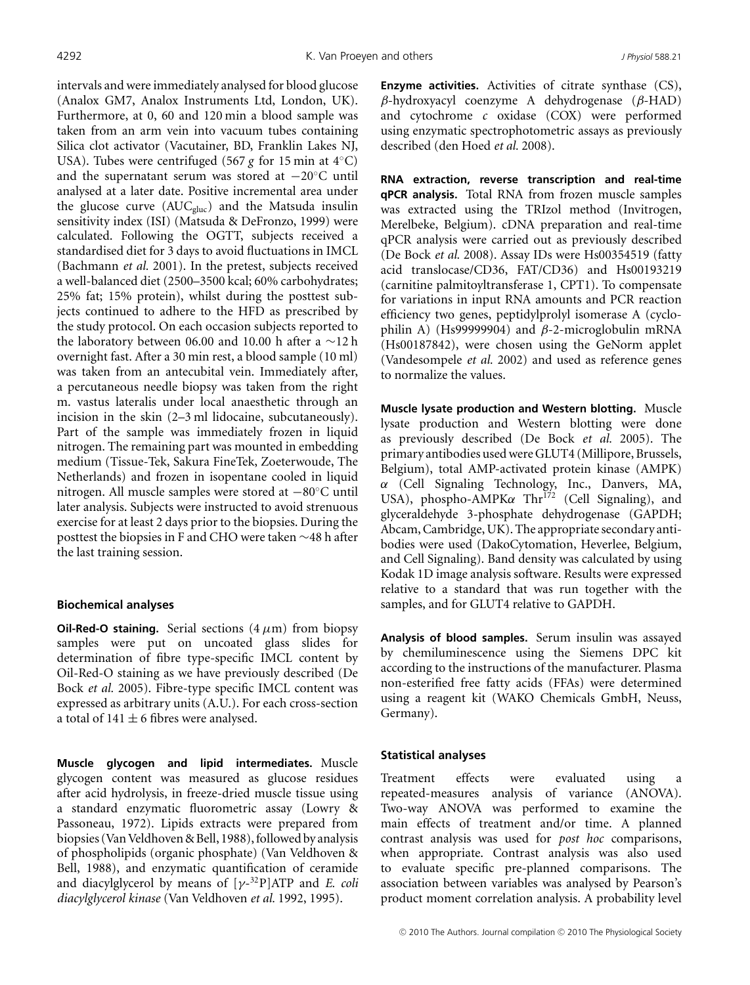intervals and were immediately analysed for blood glucose (Analox GM7, Analox Instruments Ltd, London, UK). Furthermore, at 0, 60 and 120 min a blood sample was taken from an arm vein into vacuum tubes containing Silica clot activator (Vacutainer, BD, Franklin Lakes NJ, USA). Tubes were centrifuged (567 *g* for 15 min at 4◦C) and the supernatant serum was stored at −20◦C until analysed at a later date. Positive incremental area under the glucose curve  $(AUC_{gluc})$  and the Matsuda insulin sensitivity index (ISI) (Matsuda & DeFronzo, 1999) were calculated. Following the OGTT, subjects received a standardised diet for 3 days to avoid fluctuations in IMCL (Bachmann *et al.* 2001). In the pretest, subjects received a well-balanced diet (2500–3500 kcal; 60% carbohydrates; 25% fat; 15% protein), whilst during the posttest subjects continued to adhere to the HFD as prescribed by the study protocol. On each occasion subjects reported to the laboratory between 06.00 and 10.00 h after a ∼12 h overnight fast. After a 30 min rest, a blood sample (10 ml) was taken from an antecubital vein. Immediately after, a percutaneous needle biopsy was taken from the right m. vastus lateralis under local anaesthetic through an incision in the skin (2–3 ml lidocaine, subcutaneously). Part of the sample was immediately frozen in liquid nitrogen. The remaining part was mounted in embedding medium (Tissue-Tek, Sakura FineTek, Zoeterwoude, The Netherlands) and frozen in isopentane cooled in liquid nitrogen. All muscle samples were stored at −80◦C until later analysis. Subjects were instructed to avoid strenuous exercise for at least 2 days prior to the biopsies. During the posttest the biopsies in F and CHO were taken ∼48 h after the last training session.

#### **Biochemical analyses**

**Oil-Red-O staining.** Serial sections  $(4 \mu m)$  from biopsy samples were put on uncoated glass slides for determination of fibre type-specific IMCL content by Oil-Red-O staining as we have previously described (De Bock *et al.* 2005). Fibre-type specific IMCL content was expressed as arbitrary units (A.U.). For each cross-section a total of  $141 \pm 6$  fibres were analysed.

**Muscle glycogen and lipid intermediates.** Muscle glycogen content was measured as glucose residues after acid hydrolysis, in freeze-dried muscle tissue using a standard enzymatic fluorometric assay (Lowry & Passoneau, 1972). Lipids extracts were prepared from biopsies (Van Veldhoven & Bell, 1988), followed by analysis of phospholipids (organic phosphate) (Van Veldhoven & Bell, 1988), and enzymatic quantification of ceramide and diacylglycerol by means of [γ-32P]ATP and *E. coli diacylglycerol kinase* (Van Veldhoven *et al.* 1992, 1995).

**Enzyme activities.** Activities of citrate synthase (CS), β-hydroxyacyl coenzyme A dehydrogenase (β-HAD) and cytochrome *c* oxidase (COX) were performed using enzymatic spectrophotometric assays as previously described (den Hoed *et al.* 2008).

**RNA extraction, reverse transcription and real-time qPCR analysis.** Total RNA from frozen muscle samples was extracted using the TRIzol method (Invitrogen, Merelbeke, Belgium). cDNA preparation and real-time qPCR analysis were carried out as previously described (De Bock *et al.* 2008). Assay IDs were Hs00354519 (fatty acid translocase/CD36, FAT/CD36) and Hs00193219 (carnitine palmitoyltransferase 1, CPT1). To compensate for variations in input RNA amounts and PCR reaction efficiency two genes, peptidylprolyl isomerase A (cyclophilin A) (Hs99999904) and  $\beta$ -2-microglobulin mRNA (Hs00187842), were chosen using the GeNorm applet (Vandesompele *et al.* 2002) and used as reference genes to normalize the values.

**Muscle lysate production and Western blotting.** Muscle lysate production and Western blotting were done as previously described (De Bock *et al.* 2005). The primary antibodies used were GLUT4 (Millipore, Brussels, Belgium), total AMP-activated protein kinase (AMPK) α (Cell Signaling Technology, Inc., Danvers, MA, USA), phospho-AMPK $\alpha$  Thr<sup>172</sup> (Cell Signaling), and glyceraldehyde 3-phosphate dehydrogenase (GAPDH; Abcam, Cambridge, UK). The appropriate secondary antibodies were used (DakoCytomation, Heverlee, Belgium, and Cell Signaling). Band density was calculated by using Kodak 1D image analysis software. Results were expressed relative to a standard that was run together with the samples, and for GLUT4 relative to GAPDH.

**Analysis of blood samples.** Serum insulin was assayed by chemiluminescence using the Siemens DPC kit according to the instructions of the manufacturer. Plasma non-esterified free fatty acids (FFAs) were determined using a reagent kit (WAKO Chemicals GmbH, Neuss, Germany).

#### **Statistical analyses**

Treatment effects were evaluated using a repeated-measures analysis of variance (ANOVA). Two-way ANOVA was performed to examine the main effects of treatment and/or time. A planned contrast analysis was used for *post hoc* comparisons, when appropriate. Contrast analysis was also used to evaluate specific pre-planned comparisons. The association between variables was analysed by Pearson's product moment correlation analysis. A probability level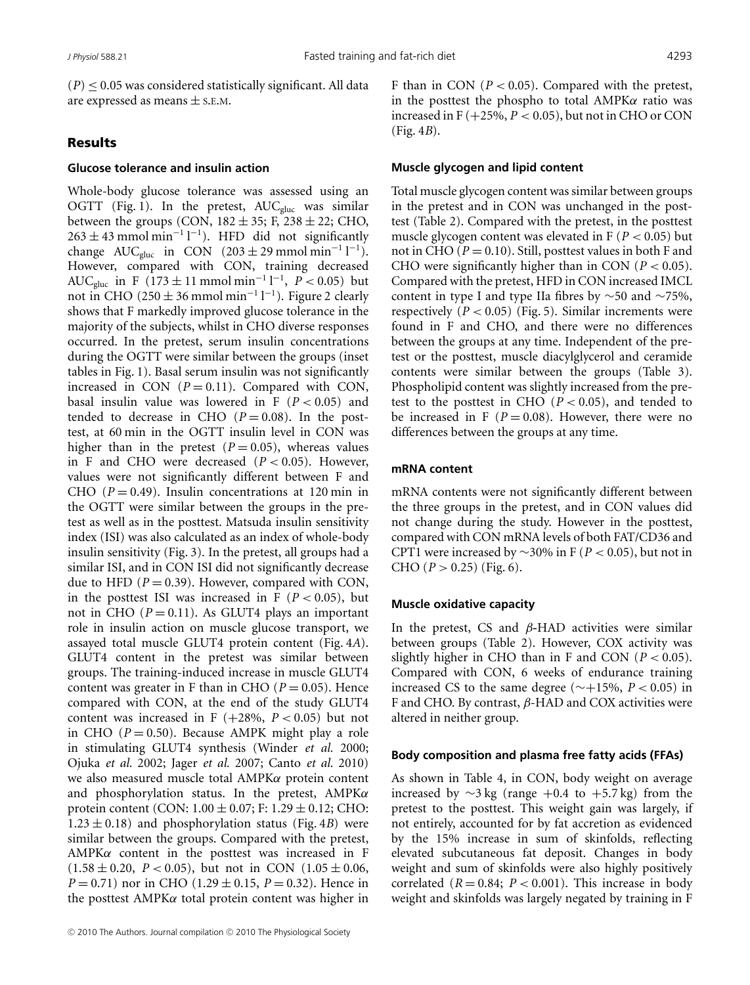$(P) \leq 0.05$  was considered statistically significant. All data are expressed as means  $\pm$  s.E.M.

# Results

### **Glucose tolerance and insulin action**

Whole-body glucose tolerance was assessed using an OGTT (Fig. 1). In the pretest,  $AUC_{gluc}$  was similar between the groups (CON,  $182 \pm 35$ ; F,  $238 \pm 22$ ; CHO,  $263 \pm 43$  mmol min<sup>-1</sup> l<sup>-1</sup>). HFD did not significantly change  $AUC_{gluc}$  in CON (203 ± 29 mmol min<sup>-1</sup> l<sup>-1</sup>). However, compared with CON, training decreased AUC<sub>gluc</sub> in F (173  $\pm$  11 mmol min<sup>-1</sup> l<sup>-1</sup>, *P* < 0.05) but not in CHO (250  $\pm$  36 mmol min<sup>-1</sup> l<sup>-1</sup>). Figure 2 clearly shows that F markedly improved glucose tolerance in the majority of the subjects, whilst in CHO diverse responses occurred. In the pretest, serum insulin concentrations during the OGTT were similar between the groups (inset tables in Fig. 1). Basal serum insulin was not significantly increased in CON  $(P = 0.11)$ . Compared with CON, basal insulin value was lowered in  $F(P < 0.05)$  and tended to decrease in CHO  $(P=0.08)$ . In the posttest, at 60 min in the OGTT insulin level in CON was higher than in the pretest  $(P = 0.05)$ , whereas values in F and CHO were decreased  $(P < 0.05)$ . However, values were not significantly different between F and CHO  $(P = 0.49)$ . Insulin concentrations at 120 min in the OGTT were similar between the groups in the pretest as well as in the posttest. Matsuda insulin sensitivity index (ISI) was also calculated as an index of whole-body insulin sensitivity (Fig. 3). In the pretest, all groups had a similar ISI, and in CON ISI did not significantly decrease due to HFD  $(P = 0.39)$ . However, compared with CON, in the posttest ISI was increased in  $F(P < 0.05)$ , but not in CHO  $(P = 0.11)$ . As GLUT4 plays an important role in insulin action on muscle glucose transport, we assayed total muscle GLUT4 protein content (Fig. 4*A*). GLUT4 content in the pretest was similar between groups. The training-induced increase in muscle GLUT4 content was greater in F than in CHO ( $P = 0.05$ ). Hence compared with CON, at the end of the study GLUT4 content was increased in F  $(+28\%, P < 0.05)$  but not in CHO  $(P = 0.50)$ . Because AMPK might play a role in stimulating GLUT4 synthesis (Winder *et al.* 2000; Ojuka *et al.* 2002; Jager *et al.* 2007; Canto *et al.* 2010) we also measured muscle total AMPKα protein content and phosphorylation status. In the pretest,  $AMPK\alpha$ protein content (CON:  $1.00 \pm 0.07$ ; F:  $1.29 \pm 0.12$ ; CHO:  $1.23 \pm 0.18$ ) and phosphorylation status (Fig. 4*B*) were similar between the groups. Compared with the pretest,  $AMPK\alpha$  content in the posttest was increased in F  $(1.58 \pm 0.20, P < 0.05)$ , but not in CON  $(1.05 \pm 0.06,$ *P* = 0.71) nor in CHO (1.29  $\pm$  0.15, *P* = 0.32). Hence in the posttest  $AMPK\alpha$  total protein content was higher in

F than in CON  $(P < 0.05)$ . Compared with the pretest, in the posttest the phospho to total  $AMPK\alpha$  ratio was increased in  $F (+25\%, P < 0.05)$ , but not in CHO or CON (Fig. 4*B*).

#### **Muscle glycogen and lipid content**

Total muscle glycogen content was similar between groups in the pretest and in CON was unchanged in the posttest (Table 2). Compared with the pretest, in the posttest muscle glycogen content was elevated in F (*P* < 0.05) but not in CHO ( $P = 0.10$ ). Still, posttest values in both F and CHO were significantly higher than in CON  $(P < 0.05)$ . Compared with the pretest, HFD in CON increased IMCL content in type I and type IIa fibres by ∼50 and ∼75%, respectively  $(P < 0.05)$  (Fig. 5). Similar increments were found in F and CHO, and there were no differences between the groups at any time. Independent of the pretest or the posttest, muscle diacylglycerol and ceramide contents were similar between the groups (Table 3). Phospholipid content was slightly increased from the pretest to the posttest in CHO  $(P < 0.05)$ , and tended to be increased in F  $(P = 0.08)$ . However, there were no differences between the groups at any time.

#### **mRNA content**

mRNA contents were not significantly different between the three groups in the pretest, and in CON values did not change during the study. However in the posttest, compared with CON mRNA levels of both FAT/CD36 and CPT1 were increased by ∼30% in F (*P* < 0.05), but not in CHO  $(P > 0.25)$  (Fig. 6).

### **Muscle oxidative capacity**

In the pretest, CS and β**-**HAD activities were similar between groups (Table 2). However, COX activity was slightly higher in CHO than in F and CON  $(P < 0.05)$ . Compared with CON, 6 weeks of endurance training increased CS to the same degree (∼+15%, *P* < 0.05) in F and CHO. By contrast,  $\beta$ -HAD and COX activities were altered in neither group.

#### **Body composition and plasma free fatty acids (FFAs)**

As shown in Table 4, in CON, body weight on average increased by  $\sim$ 3 kg (range +0.4 to +5.7 kg) from the pretest to the posttest. This weight gain was largely, if not entirely, accounted for by fat accretion as evidenced by the 15% increase in sum of skinfolds, reflecting elevated subcutaneous fat deposit. Changes in body weight and sum of skinfolds were also highly positively correlated  $(R = 0.84; P < 0.001)$ . This increase in body weight and skinfolds was largely negated by training in F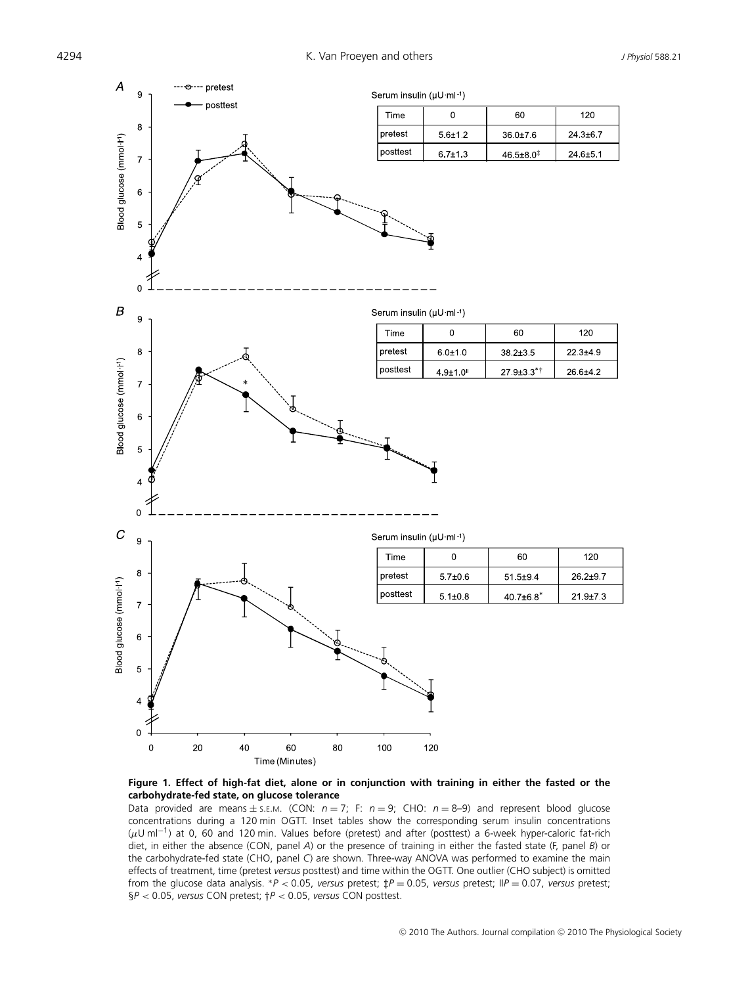

**Figure 1. Effect of high-fat diet, alone or in conjunction with training in either the fasted or the carbohydrate-fed state, on glucose tolerance**

Data provided are means  $\pm$  s.e.m. (CON:  $n = 7$ ; F:  $n = 9$ ; CHO:  $n = 8-9$ ) and represent blood glucose concentrations during a 120 min OGTT. Inset tables show the corresponding serum insulin concentrations (μU ml−1) at 0, 60 and 120 min. Values before (pretest) and after (posttest) a 6-week hyper-caloric fat-rich diet, in either the absence (CON, panel *A*) or the presence of training in either the fasted state (F, panel *B*) or the carbohydrate-fed state (CHO, panel *C*) are shown. Three-way ANOVA was performed to examine the main effects of treatment, time (pretest *versus* posttest) and time within the OGTT. One outlier (CHO subject) is omitted from the glucose data analysis. <sup>∗</sup>*P* < 0.05, *versus* pretest; *‡P* = 0.05, *versus* pretest; II*P* = 0.07, *versus* pretest; §*P* < 0.05, *versus* CON pretest; *†P* < 0.05, *versus* CON posttest.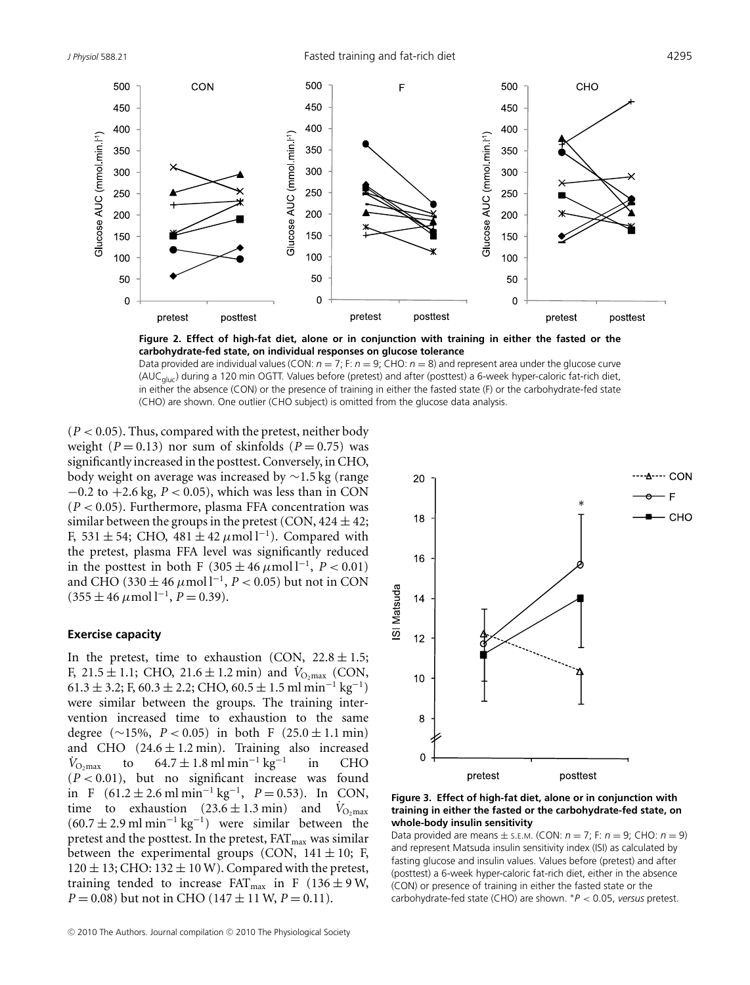*J Physiol* 588.21 Fasted training and fat-rich diet 4295



**Figure 2. Effect of high-fat diet, alone or in conjunction with training in either the fasted or the carbohydrate-fed state, on individual responses on glucose tolerance**

Data provided are individual values (CON:  $n = 7$ ; F:  $n = 9$ ; CHO:  $n = 8$ ) and represent area under the glucose curve (AUCgluc) during a 120 min OGTT. Values before (pretest) and after (posttest) a 6-week hyper-caloric fat-rich diet, in either the absence (CON) or the presence of training in either the fasted state (F) or the carbohydrate-fed state (CHO) are shown. One outlier (CHO subject) is omitted from the glucose data analysis.

 $(P < 0.05)$ . Thus, compared with the pretest, neither body weight  $(P = 0.13)$  nor sum of skinfolds  $(P = 0.75)$  was significantly increased in the posttest. Conversely, in CHO, body weight on average was increased by ∼1.5 kg (range −0.2 to +2.6 kg, *P* < 0.05), which was less than in CON  $(P < 0.05)$ . Furthermore, plasma FFA concentration was similar between the groups in the pretest (CON,  $424 \pm 42$ ; F, 531 ± 54; CHO, 481 ± 42 μmol l<sup>-1</sup>). Compared with the pretest, plasma FFA level was significantly reduced in the posttest in both F (305  $\pm$  46  $\mu$ mol l<sup>-1</sup>, *P* < 0.01) and CHO (330  $\pm$  46  $\mu$ mol l<sup>-1</sup>, *P* < 0.05) but not in CON  $(355 \pm 46 \,\mu \text{mol} \, \text{m}^{-1}, P = 0.39)$ .

#### **Exercise capacity**

In the pretest, time to exhaustion (CON,  $22.8 \pm 1.5$ ; F,  $21.5 \pm 1.1$ ; CHO,  $21.6 \pm 1.2$  min) and  $V_{\text{O}_2\text{max}}$  (CON, 61.3 ± 3.2; F, 60.3 ± 2.2; CHO, 60.5 ± 1.5 ml min−<sup>1</sup> kg−1) were similar between the groups. The training intervention increased time to exhaustion to the same degree ( $\sim$ 15%, *P* < 0.05) in both F (25.0 ± 1.1 min) and CHO (24.6 ± 1.2 min). Training also increased  $V_{\text{O,max}}$  to 64.7 ± 1.8 ml min<sup>-1</sup> kg<sup>-1</sup> in CHO  $64.7 \pm 1.8$  ml min<sup>-1</sup> kg<sup>-1</sup>  $(P < 0.01)$ , but no significant increase was found in F (61.2 ± 2.6 ml min<sup>-1</sup> kg<sup>-1</sup>,  $P = 0.53$ ). In CON, time to exhaustion  $(23.6 \pm 1.3 \text{ min})$  and  $\dot{V}_{\text{O,max}}$  $(60.7 \pm 2.9 \text{ ml min}^{-1} \text{ kg}^{-1})$  were similar between the pretest and the posttest. In the pretest,  $FAT<sub>max</sub>$  was similar between the experimental groups (CON,  $141 \pm 10$ ; F,  $120 \pm 13$ ; CHO:  $132 \pm 10$  W). Compared with the pretest, training tended to increase  $FAT_{max}$  in F (136  $\pm$  9 W,  $P = 0.08$ ) but not in CHO (147  $\pm$  11 W,  $P = 0.11$ ).



#### **Figure 3. Effect of high-fat diet, alone or in conjunction with training in either the fasted or the carbohydrate-fed state, on whole-body insulin sensitivity**

Data provided are means ± S.E.M. (CON: *n* = 7; F: *n* = 9; CHO: *n* = 9) and represent Matsuda insulin sensitivity index (ISI) as calculated by fasting glucose and insulin values. Values before (pretest) and after (posttest) a 6-week hyper-caloric fat-rich diet, either in the absence (CON) or presence of training in either the fasted state or the carbohydrate-fed state (CHO) are shown. ∗*P* < 0.05, *versus* pretest.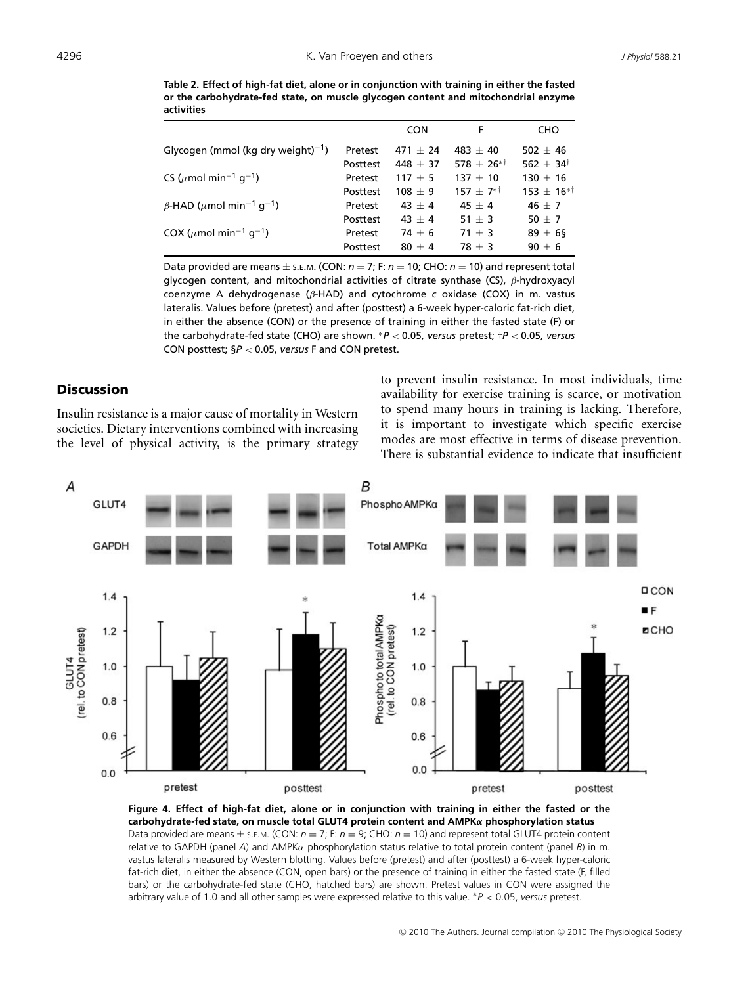**Table 2. Effect of high-fat diet, alone or in conjunction with training in either the fasted or the carbohydrate-fed state, on muscle glycogen content and mitochondrial enzyme activities**

|                                                              |          | <b>CON</b> | F                      | CHO                    |
|--------------------------------------------------------------|----------|------------|------------------------|------------------------|
| Glycogen (mmol (kg dry weight) <sup>-1</sup> )               | Pretest  | $471 + 24$ | $483 + 40$             | $502 + 46$             |
|                                                              | Posttest | $448 + 37$ | $578 + 26^{* \dagger}$ | $562 + 34^{\dagger}$   |
| CS ( $\mu$ mol min <sup>-1</sup> q <sup>-1</sup> )           | Pretest  | $117 + 5$  | $137 + 10$             | $130 + 16$             |
|                                                              | Posttest | $108 + 9$  | $157 + 7^{*+}$         | $153 + 16^{* \dagger}$ |
| $\beta$ -HAD ( $\mu$ mol min <sup>-1</sup> g <sup>-1</sup> ) | Pretest  | $43 + 4$   | $45 + 4$               | $46 + 7$               |
|                                                              | Posttest | $43 + 4$   | $51 \pm 3$             | $50 + 7$               |
| COX ( $\mu$ mol min <sup>-1</sup> q <sup>-1</sup> )          | Pretest  | $74 + 6$   | $71 + 3$               | $89 \pm 6$ §           |
|                                                              | Posttest | $80 + 4$   | $78 + 3$               | $90 + 6$               |

Data provided are means  $\pm$  s.E.M. (CON:  $n = 7$ ; F:  $n = 10$ ; CHO:  $n = 10$ ) and represent total glycogen content, and mitochondrial activities of citrate synthase (CS),  $\beta$ -hydroxyacyl coenzyme A dehydrogenase (β-HAD) and cytochrome *c* oxidase (COX) in m. vastus lateralis. Values before (pretest) and after (posttest) a 6-week hyper-caloric fat-rich diet, in either the absence (CON) or the presence of training in either the fasted state (F) or the carbohydrate-fed state (CHO) are shown. <sup>∗</sup>*P* < 0.05, *versus* pretest; †*P* < 0.05, *versus* CON posttest; §*P* < 0.05, *versus* F and CON pretest.

## **Discussion**

Insulin resistance is a major cause of mortality in Western societies. Dietary interventions combined with increasing the level of physical activity, is the primary strategy to prevent insulin resistance. In most individuals, time availability for exercise training is scarce, or motivation to spend many hours in training is lacking. Therefore, it is important to investigate which specific exercise modes are most effective in terms of disease prevention. There is substantial evidence to indicate that insufficient



**Figure 4. Effect of high-fat diet, alone or in conjunction with training in either the fasted or the carbohydrate-fed state, on muscle total GLUT4 protein content and AMPK***α* **phosphorylation status** Data provided are means ± S.E.M. (CON: *n* = 7; F: *n* = 9; CHO: *n* = 10) and represent total GLUT4 protein content relative to GAPDH (panel *A*) and AMPKα phosphorylation status relative to total protein content (panel *B*) in m. vastus lateralis measured by Western blotting. Values before (pretest) and after (posttest) a 6-week hyper-caloric fat-rich diet, in either the absence (CON, open bars) or the presence of training in either the fasted state (F, filled bars) or the carbohydrate-fed state (CHO, hatched bars) are shown. Pretest values in CON were assigned the arbitrary value of 1.0 and all other samples were expressed relative to this value. ∗*P* < 0.05, *versus* pretest.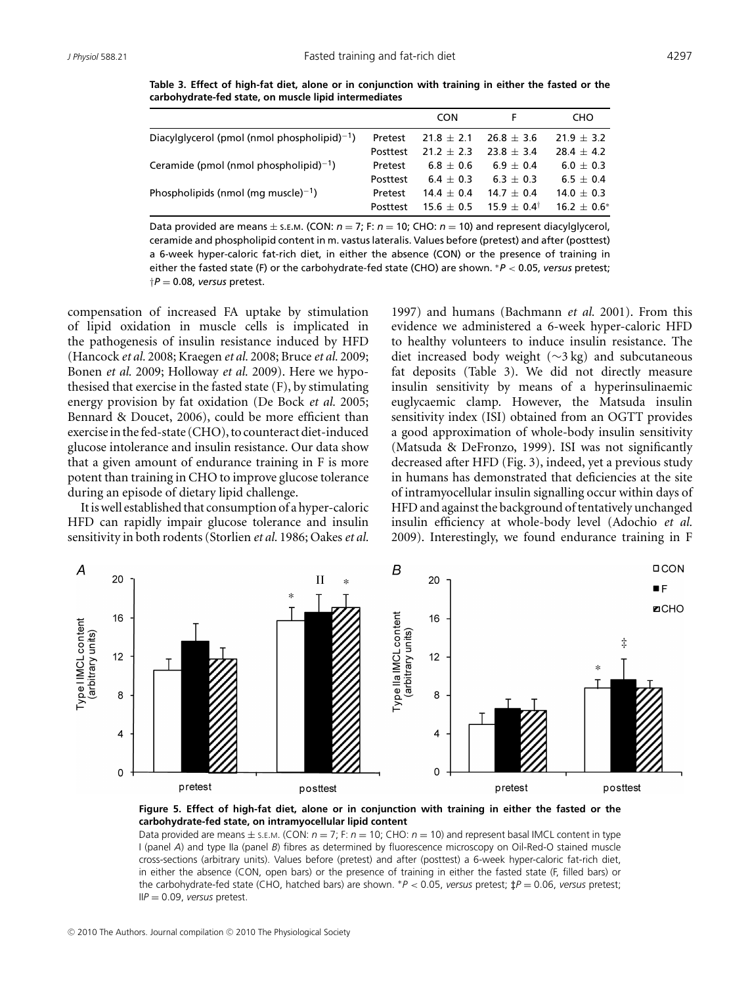**Table 3. Effect of high-fat diet, alone or in conjunction with training in either the fasted or the carbohydrate-fed state, on muscle lipid intermediates**

|                                                    |          | <b>CON</b>     |                          | CHO              |
|----------------------------------------------------|----------|----------------|--------------------------|------------------|
| Diacylglycerol (pmol (nmol phospholipid) $^{-1}$ ) | Pretest  | $21.8 \pm 2.1$ | $26.8 + 3.6$             | $21.9 \pm 3.2$   |
|                                                    | Posttest | $21.2 \pm 2.3$ | $73.8 + 3.4$             | $28.4 + 4.2$     |
| Ceramide (pmol (nmol phospholipid) $^{-1}$ )       | Pretest  | $6.8 + 0.6$    | $6.9 + 0.4$              | $6.0 + 0.3$      |
|                                                    | Posttest | $6.4 + 0.3$    | $6.3 + 0.3$              | $6.5 \pm 0.4$    |
| Phospholipids (nmol (mg muscle) $^{-1}$ )          | Pretest  | $14.4 \pm 0.4$ | $14.7 + 0.4$             | $14.0 \pm 0.3$   |
|                                                    | Posttest | $15.6 \pm 0.5$ | $15.9 \pm 0.4^{\dagger}$ | $16.2 \pm 0.6^*$ |

Data provided are means  $\pm$  s. *E.M.* (CON:  $n = 7$ ; F:  $n = 10$ ; CHO:  $n = 10$ ) and represent diacylglycerol, ceramide and phospholipid content in m. vastus lateralis. Values before (pretest) and after (posttest) a 6-week hyper-caloric fat-rich diet, in either the absence (CON) or the presence of training in either the fasted state (F) or the carbohydrate-fed state (CHO) are shown. <sup>∗</sup>*P* < 0.05, *versus* pretest;  $\dagger P = 0.08$ , *versus* pretest.

compensation of increased FA uptake by stimulation of lipid oxidation in muscle cells is implicated in the pathogenesis of insulin resistance induced by HFD (Hancock *et al.* 2008; Kraegen *et al.* 2008; Bruce *et al.* 2009; Bonen *et al.* 2009; Holloway *et al.* 2009). Here we hypothesised that exercise in the fasted state (F), by stimulating energy provision by fat oxidation (De Bock *et al.* 2005; Bennard & Doucet, 2006), could be more efficient than exercisein thefed-state (CHO), to counteract diet-induced glucose intolerance and insulin resistance. Our data show that a given amount of endurance training in F is more potent than training in CHO to improve glucose tolerance during an episode of dietary lipid challenge.

It is well established that consumption of a hyper-caloric HFD can rapidly impair glucose tolerance and insulin sensitivity in both rodents (Storlien *et al.* 1986; Oakes*et al.*

1997) and humans (Bachmann *et al.* 2001). From this evidence we administered a 6-week hyper-caloric HFD to healthy volunteers to induce insulin resistance. The diet increased body weight (∼3 kg) and subcutaneous fat deposits (Table 3). We did not directly measure insulin sensitivity by means of a hyperinsulinaemic euglycaemic clamp. However, the Matsuda insulin sensitivity index (ISI) obtained from an OGTT provides a good approximation of whole-body insulin sensitivity (Matsuda & DeFronzo, 1999). ISI was not significantly decreased after HFD (Fig. 3), indeed, yet a previous study in humans has demonstrated that deficiencies at the site of intramyocellular insulin signalling occur within days of HFD and against the background of tentatively unchanged insulin efficiency at whole-body level (Adochio *et al.* 2009). Interestingly, we found endurance training in F



**Figure 5. Effect of high-fat diet, alone or in conjunction with training in either the fasted or the carbohydrate-fed state, on intramyocellular lipid content**

Data provided are means  $\pm$  s.E.M. (CON:  $n = 7$ ; F:  $n = 10$ ; CHO:  $n = 10$ ) and represent basal IMCL content in type I (panel *A*) and type IIa (panel *B*) fibres as determined by fluorescence microscopy on Oil-Red-O stained muscle cross-sections (arbitrary units). Values before (pretest) and after (posttest) a 6-week hyper-caloric fat-rich diet, in either the absence (CON, open bars) or the presence of training in either the fasted state (F, filled bars) or the carbohydrate-fed state (CHO, hatched bars) are shown. <sup>∗</sup>*P* < 0.05, *versus* pretest; *‡P* = 0.06, *versus* pretest; II*P* = 0.09, *versus* pretest.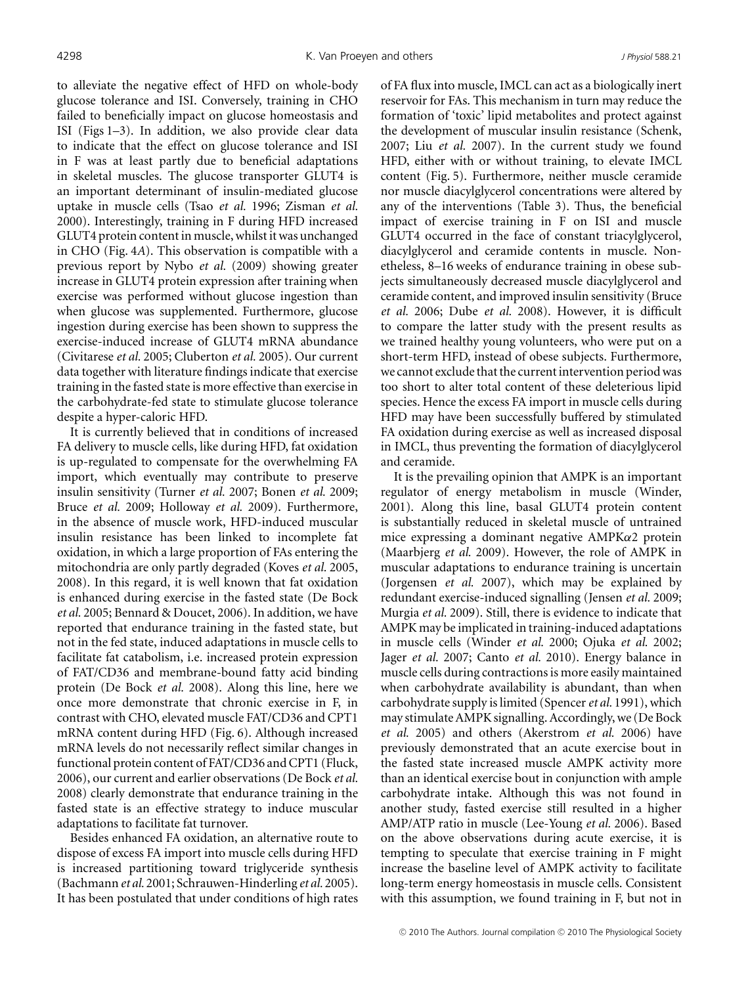to alleviate the negative effect of HFD on whole-body glucose tolerance and ISI. Conversely, training in CHO failed to beneficially impact on glucose homeostasis and ISI (Figs 1–3). In addition, we also provide clear data to indicate that the effect on glucose tolerance and ISI in F was at least partly due to beneficial adaptations in skeletal muscles. The glucose transporter GLUT4 is an important determinant of insulin-mediated glucose uptake in muscle cells (Tsao *et al.* 1996; Zisman *et al.* 2000). Interestingly, training in F during HFD increased GLUT4 protein content in muscle, whilst it was unchanged in CHO (Fig. 4*A*). This observation is compatible with a previous report by Nybo *et al.* (2009) showing greater increase in GLUT4 protein expression after training when exercise was performed without glucose ingestion than when glucose was supplemented. Furthermore, glucose ingestion during exercise has been shown to suppress the exercise-induced increase of GLUT4 mRNA abundance (Civitarese *et al.* 2005; Cluberton *et al.* 2005). Our current data together with literature findings indicate that exercise training in the fasted state is more effective than exercise in the carbohydrate-fed state to stimulate glucose tolerance despite a hyper-caloric HFD.

It is currently believed that in conditions of increased FA delivery to muscle cells, like during HFD, fat oxidation is up-regulated to compensate for the overwhelming FA import, which eventually may contribute to preserve insulin sensitivity (Turner *et al.* 2007; Bonen *et al.* 2009; Bruce *et al.* 2009; Holloway *et al.* 2009). Furthermore, in the absence of muscle work, HFD-induced muscular insulin resistance has been linked to incomplete fat oxidation, in which a large proportion of FAs entering the mitochondria are only partly degraded (Koves *et al.* 2005, 2008). In this regard, it is well known that fat oxidation is enhanced during exercise in the fasted state (De Bock *et al.* 2005; Bennard & Doucet, 2006). In addition, we have reported that endurance training in the fasted state, but not in the fed state, induced adaptations in muscle cells to facilitate fat catabolism, i.e. increased protein expression of FAT/CD36 and membrane-bound fatty acid binding protein (De Bock *et al.* 2008). Along this line, here we once more demonstrate that chronic exercise in F, in contrast with CHO, elevated muscle FAT/CD36 and CPT1 mRNA content during HFD (Fig. 6). Although increased mRNA levels do not necessarily reflect similar changes in functional protein content of FAT/CD36 and CPT1 (Fluck, 2006), our current and earlier observations (De Bock *et al.* 2008) clearly demonstrate that endurance training in the fasted state is an effective strategy to induce muscular adaptations to facilitate fat turnover.

Besides enhanced FA oxidation, an alternative route to dispose of excess FA import into muscle cells during HFD is increased partitioning toward triglyceride synthesis (Bachmann *et al.* 2001; Schrauwen-Hinderling *et al.* 2005). It has been postulated that under conditions of high rates of FA flux into muscle, IMCL can act as a biologically inert reservoir for FAs. This mechanism in turn may reduce the formation of 'toxic' lipid metabolites and protect against the development of muscular insulin resistance (Schenk, 2007; Liu *et al.* 2007). In the current study we found HFD, either with or without training, to elevate IMCL content (Fig. 5). Furthermore, neither muscle ceramide nor muscle diacylglycerol concentrations were altered by any of the interventions (Table 3). Thus, the beneficial impact of exercise training in F on ISI and muscle GLUT4 occurred in the face of constant triacylglycerol, diacylglycerol and ceramide contents in muscle. Nonetheless, 8–16 weeks of endurance training in obese subjects simultaneously decreased muscle diacylglycerol and ceramide content, and improved insulin sensitivity (Bruce *et al.* 2006; Dube *et al.* 2008). However, it is difficult to compare the latter study with the present results as we trained healthy young volunteers, who were put on a short-term HFD, instead of obese subjects. Furthermore, we cannot exclude that the current intervention period was too short to alter total content of these deleterious lipid species. Hence the excess FA import in muscle cells during HFD may have been successfully buffered by stimulated FA oxidation during exercise as well as increased disposal in IMCL, thus preventing the formation of diacylglycerol and ceramide.

It is the prevailing opinion that AMPK is an important regulator of energy metabolism in muscle (Winder, 2001). Along this line, basal GLUT4 protein content is substantially reduced in skeletal muscle of untrained mice expressing a dominant negative AMPKα2 protein (Maarbjerg *et al.* 2009). However, the role of AMPK in muscular adaptations to endurance training is uncertain (Jorgensen *et al.* 2007), which may be explained by redundant exercise-induced signalling (Jensen *et al.* 2009; Murgia *et al.* 2009). Still, there is evidence to indicate that AMPK may be implicated in training-induced adaptations in muscle cells (Winder *et al.* 2000; Ojuka *et al.* 2002; Jager *et al.* 2007; Canto *et al.* 2010). Energy balance in muscle cells during contractions is more easily maintained when carbohydrate availability is abundant, than when carbohydrate supply is limited (Spencer*et al.* 1991), which may stimulate AMPK signalling. Accordingly, we (De Bock *et al.* 2005) and others (Akerstrom *et al.* 2006) have previously demonstrated that an acute exercise bout in the fasted state increased muscle AMPK activity more than an identical exercise bout in conjunction with ample carbohydrate intake. Although this was not found in another study, fasted exercise still resulted in a higher AMP/ATP ratio in muscle (Lee-Young *et al.* 2006). Based on the above observations during acute exercise, it is tempting to speculate that exercise training in F might increase the baseline level of AMPK activity to facilitate long-term energy homeostasis in muscle cells. Consistent with this assumption, we found training in F, but not in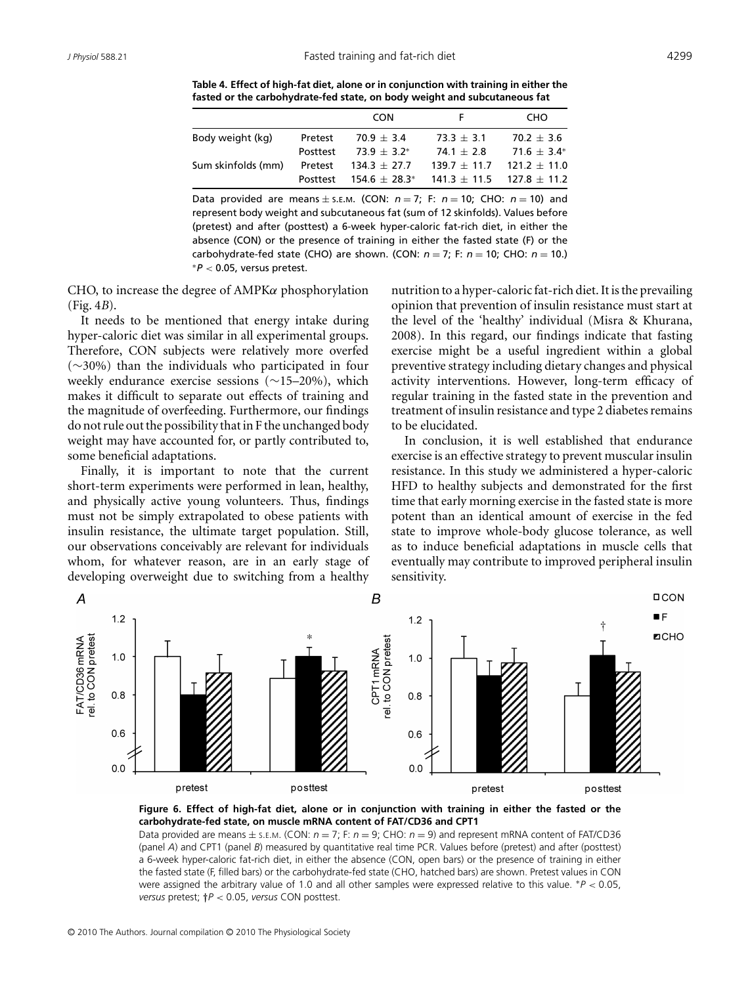**Table 4. Effect of high-fat diet, alone or in conjunction with training in either the fasted or the carbohydrate-fed state, on body weight and subcutaneous fat**

|                    |          | <b>CON</b>                                                    |                               | <b>CHO</b>       |
|--------------------|----------|---------------------------------------------------------------|-------------------------------|------------------|
| Body weight (kg)   | Pretest  | $70.9 + 3.4$                                                  | $73.3 + 3.1$                  | $70.2 + 3.6$     |
|                    | Posttest | $73.9 \pm 3.2^*$                                              | $741 + 28$                    | $71.6 \pm 3.4^*$ |
| Sum skinfolds (mm) | Pretest  | $134.3 \pm 27.7$                                              | $139.7 + 11.7$ $121.2 + 11.0$ |                  |
|                    |          | Posttest $154.6 \pm 28.3^*$ $141.3 \pm 11.5$ $127.8 \pm 11.2$ |                               |                  |

Data provided are means  $\pm$  s.E.M. (CON:  $n = 7$ ; F:  $n = 10$ ; CHO:  $n = 10$ ) and represent body weight and subcutaneous fat (sum of 12 skinfolds). Values before (pretest) and after (posttest) a 6-week hyper-caloric fat-rich diet, in either the absence (CON) or the presence of training in either the fasted state (F) or the carbohydrate-fed state (CHO) are shown. (CON:  $n = 7$ ; F:  $n = 10$ ; CHO:  $n = 10$ .) <sup>∗</sup>*P* < 0.05, versus pretest.

CHO, to increase the degree of AMPKα phosphorylation (Fig. 4*B*).

It needs to be mentioned that energy intake during hyper-caloric diet was similar in all experimental groups. Therefore, CON subjects were relatively more overfed (∼30%) than the individuals who participated in four weekly endurance exercise sessions (∼15–20%), which makes it difficult to separate out effects of training and the magnitude of overfeeding. Furthermore, our findings do not rule out the possibility that in F the unchanged body weight may have accounted for, or partly contributed to, some beneficial adaptations.

Finally, it is important to note that the current short-term experiments were performed in lean, healthy, and physically active young volunteers. Thus, findings must not be simply extrapolated to obese patients with insulin resistance, the ultimate target population. Still, our observations conceivably are relevant for individuals whom, for whatever reason, are in an early stage of developing overweight due to switching from a healthy nutrition to a hyper-caloric fat-rich diet. It is the prevailing opinion that prevention of insulin resistance must start at the level of the 'healthy' individual (Misra & Khurana, 2008). In this regard, our findings indicate that fasting exercise might be a useful ingredient within a global preventive strategy including dietary changes and physical activity interventions. However, long-term efficacy of regular training in the fasted state in the prevention and treatment of insulin resistance and type 2 diabetes remains to be elucidated.

In conclusion, it is well established that endurance exercise is an effective strategy to prevent muscular insulin resistance. In this study we administered a hyper-caloric HFD to healthy subjects and demonstrated for the first time that early morning exercise in the fasted state is more potent than an identical amount of exercise in the fed state to improve whole-body glucose tolerance, as well as to induce beneficial adaptations in muscle cells that eventually may contribute to improved peripheral insulin sensitivity.



**Figure 6. Effect of high-fat diet, alone or in conjunction with training in either the fasted or the carbohydrate-fed state, on muscle mRNA content of FAT/CD36 and CPT1**

Data provided are means  $\pm$  s.e.m. (CON:  $n = 7$ ; F:  $n = 9$ ; CHO:  $n = 9$ ) and represent mRNA content of FAT/CD36 (panel *A*) and CPT1 (panel *B*) measured by quantitative real time PCR. Values before (pretest) and after (posttest) a 6-week hyper-caloric fat-rich diet, in either the absence (CON, open bars) or the presence of training in either the fasted state (F, filled bars) or the carbohydrate-fed state (CHO, hatched bars) are shown. Pretest values in CON were assigned the arbitrary value of 1.0 and all other samples were expressed relative to this value. ∗*P* < 0.05, *versus* pretest; *†P* < 0.05, *versus* CON posttest.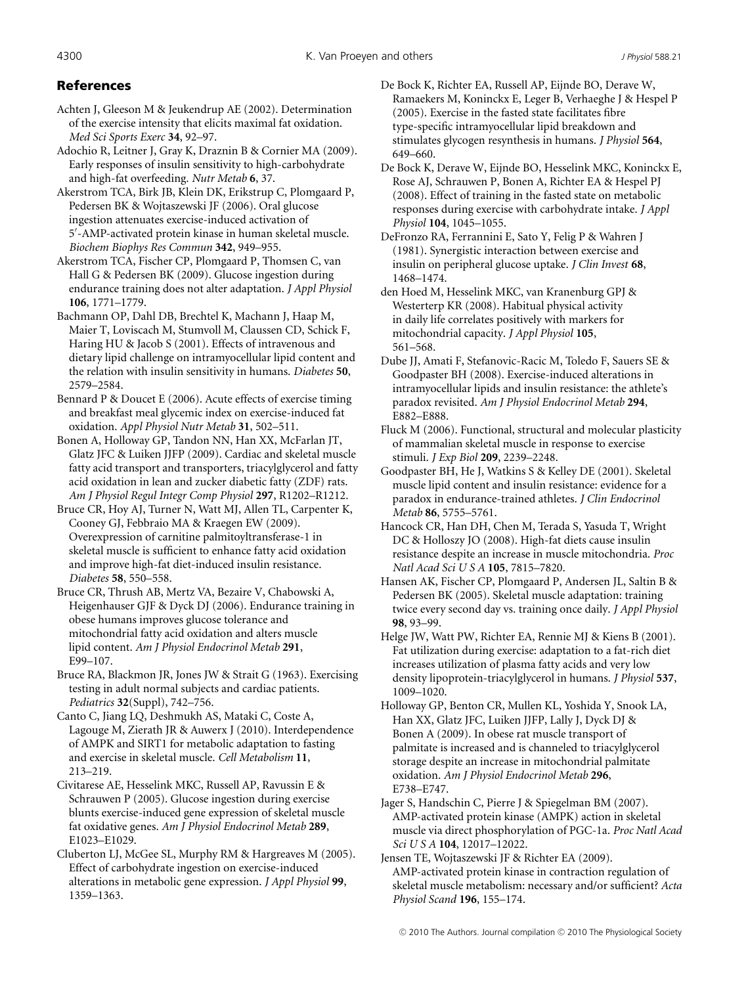# References

Achten J, Gleeson M & Jeukendrup AE (2002). Determination of the exercise intensity that elicits maximal fat oxidation. *Med Sci Sports Exerc* **34**, 92–97.

Adochio R, Leitner J, Gray K, Draznin B & Cornier MA (2009). Early responses of insulin sensitivity to high-carbohydrate and high-fat overfeeding. *Nutr Metab* **6**, 37.

Akerstrom TCA, Birk JB, Klein DK, Erikstrup C, Plomgaard P, Pedersen BK & Wojtaszewski JF (2006). Oral glucose ingestion attenuates exercise-induced activation of 5 -AMP-activated protein kinase in human skeletal muscle. *Biochem Biophys Res Commun* **342**, 949–955.

Akerstrom TCA, Fischer CP, Plomgaard P, Thomsen C, van Hall G & Pedersen BK (2009). Glucose ingestion during endurance training does not alter adaptation. *J Appl Physiol* **106**, 1771–1779.

Bachmann OP, Dahl DB, Brechtel K, Machann J, Haap M, Maier T, Loviscach M, Stumvoll M, Claussen CD, Schick F, Haring HU & Jacob S (2001). Effects of intravenous and dietary lipid challenge on intramyocellular lipid content and the relation with insulin sensitivity in humans. *Diabetes* **50**, 2579–2584.

Bennard P & Doucet E (2006). Acute effects of exercise timing and breakfast meal glycemic index on exercise-induced fat oxidation. *Appl Physiol Nutr Metab* **31**, 502–511.

Bonen A, Holloway GP, Tandon NN, Han XX, McFarlan JT, Glatz JFC & Luiken JJFP (2009). Cardiac and skeletal muscle fatty acid transport and transporters, triacylglycerol and fatty acid oxidation in lean and zucker diabetic fatty (ZDF) rats. *Am J Physiol Regul Integr Comp Physiol* **297**, R1202–R1212.

Bruce CR, Hoy AJ, Turner N, Watt MJ, Allen TL, Carpenter K, Cooney GJ, Febbraio MA & Kraegen EW (2009). Overexpression of carnitine palmitoyltransferase-1 in skeletal muscle is sufficient to enhance fatty acid oxidation and improve high-fat diet-induced insulin resistance. *Diabetes* **58**, 550–558.

Bruce CR, Thrush AB, Mertz VA, Bezaire V, Chabowski A, Heigenhauser GJF & Dyck DJ (2006). Endurance training in obese humans improves glucose tolerance and mitochondrial fatty acid oxidation and alters muscle lipid content. *Am J Physiol Endocrinol Metab* **291**, E99–107.

Bruce RA, Blackmon JR, Jones JW & Strait G (1963). Exercising testing in adult normal subjects and cardiac patients. *Pediatrics* **32**(Suppl), 742–756.

Canto C, Jiang LQ, Deshmukh AS, Mataki C, Coste A, Lagouge M, Zierath JR & Auwerx J (2010). Interdependence of AMPK and SIRT1 for metabolic adaptation to fasting and exercise in skeletal muscle. *Cell Metabolism* **11**, 213–219.

Civitarese AE, Hesselink MKC, Russell AP, Ravussin E & Schrauwen P (2005). Glucose ingestion during exercise blunts exercise-induced gene expression of skeletal muscle fat oxidative genes. *Am J Physiol Endocrinol Metab* **289**, E1023–E1029.

Cluberton LJ, McGee SL, Murphy RM & Hargreaves M (2005). Effect of carbohydrate ingestion on exercise-induced alterations in metabolic gene expression. *J Appl Physiol* **99**, 1359–1363.

De Bock K, Richter EA, Russell AP, Eijnde BO, Derave W, Ramaekers M, Koninckx E, Leger B, Verhaeghe J & Hespel P (2005). Exercise in the fasted state facilitates fibre type-specific intramyocellular lipid breakdown and stimulates glycogen resynthesis in humans. *J Physiol* **564**, 649–660.

De Bock K, Derave W, Eijnde BO, Hesselink MKC, Koninckx E, Rose AJ, Schrauwen P, Bonen A, Richter EA & Hespel PJ (2008). Effect of training in the fasted state on metabolic responses during exercise with carbohydrate intake. *J Appl Physiol* **104**, 1045–1055.

DeFronzo RA, Ferrannini E, Sato Y, Felig P & Wahren J (1981). Synergistic interaction between exercise and insulin on peripheral glucose uptake. *J Clin Invest* **68**, 1468–1474.

den Hoed M, Hesselink MKC, van Kranenburg GPJ & Westerterp KR (2008). Habitual physical activity in daily life correlates positively with markers for mitochondrial capacity. *J Appl Physiol* **105**, 561–568.

Dube JJ, Amati F, Stefanovic-Racic M, Toledo F, Sauers SE & Goodpaster BH (2008). Exercise-induced alterations in intramyocellular lipids and insulin resistance: the athlete's paradox revisited. *Am J Physiol Endocrinol Metab* **294**, E882–E888.

Fluck M (2006). Functional, structural and molecular plasticity of mammalian skeletal muscle in response to exercise stimuli. *J Exp Biol* **209**, 2239–2248.

Goodpaster BH, He J, Watkins S & Kelley DE (2001). Skeletal muscle lipid content and insulin resistance: evidence for a paradox in endurance-trained athletes. *J Clin Endocrinol Metab* **86**, 5755–5761.

Hancock CR, Han DH, Chen M, Terada S, Yasuda T, Wright DC & Holloszy JO (2008). High-fat diets cause insulin resistance despite an increase in muscle mitochondria. *Proc Natl Acad Sci U S A* **105**, 7815–7820.

Hansen AK, Fischer CP, Plomgaard P, Andersen JL, Saltin B & Pedersen BK (2005). Skeletal muscle adaptation: training twice every second day vs. training once daily. *J Appl Physiol* **98**, 93–99.

Helge JW, Watt PW, Richter EA, Rennie MJ & Kiens B (2001). Fat utilization during exercise: adaptation to a fat-rich diet increases utilization of plasma fatty acids and very low density lipoprotein-triacylglycerol in humans. *J Physiol* **537**, 1009–1020.

Holloway GP, Benton CR, Mullen KL, Yoshida Y, Snook LA, Han XX, Glatz JFC, Luiken JJFP, Lally J, Dyck DJ & Bonen A (2009). In obese rat muscle transport of palmitate is increased and is channeled to triacylglycerol storage despite an increase in mitochondrial palmitate oxidation. *Am J Physiol Endocrinol Metab* **296**, E738–E747.

Jager S, Handschin C, Pierre J & Spiegelman BM (2007). AMP-activated protein kinase (AMPK) action in skeletal muscle via direct phosphorylation of PGC-1a. *Proc Natl Acad Sci U S A* **104**, 12017–12022.

Jensen TE, Wojtaszewski JF & Richter EA (2009). AMP-activated protein kinase in contraction regulation of skeletal muscle metabolism: necessary and/or sufficient? *Acta Physiol Scand* **196**, 155–174.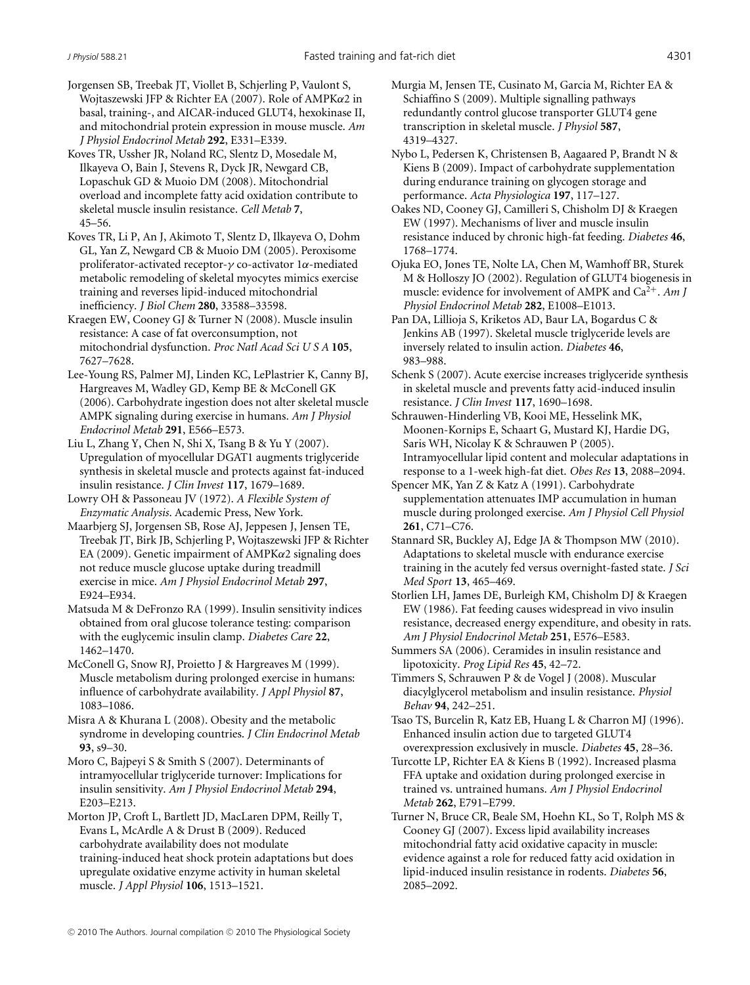Jorgensen SB, Treebak JT, Viollet B, Schjerling P, Vaulont S, Wojtaszewski JFP & Richter EA (2007). Role of AMPKα2 in basal, training-, and AICAR-induced GLUT4, hexokinase II, and mitochondrial protein expression in mouse muscle. *Am J Physiol Endocrinol Metab* **292**, E331–E339.

Koves TR, Ussher JR, Noland RC, Slentz D, Mosedale M, Ilkayeva O, Bain J, Stevens R, Dyck JR, Newgard CB, Lopaschuk GD & Muoio DM (2008). Mitochondrial overload and incomplete fatty acid oxidation contribute to skeletal muscle insulin resistance. *Cell Metab* **7**, 45–56.

Koves TR, Li P, An J, Akimoto T, Slentz D, Ilkayeva O, Dohm GL, Yan Z, Newgard CB & Muoio DM (2005). Peroxisome proliferator-activated receptor-γ co-activator 1α-mediated metabolic remodeling of skeletal myocytes mimics exercise training and reverses lipid-induced mitochondrial inefficiency. *J Biol Chem* **280**, 33588–33598.

Kraegen EW, Cooney GJ & Turner N (2008). Muscle insulin resistance: A case of fat overconsumption, not mitochondrial dysfunction. *Proc Natl Acad Sci U S A* **105**, 7627–7628.

Lee-Young RS, Palmer MJ, Linden KC, LePlastrier K, Canny BJ, Hargreaves M, Wadley GD, Kemp BE & McConell GK (2006). Carbohydrate ingestion does not alter skeletal muscle AMPK signaling during exercise in humans. *Am J Physiol Endocrinol Metab* **291**, E566–E573.

Liu L, Zhang Y, Chen N, Shi X, Tsang B & Yu Y (2007). Upregulation of myocellular DGAT1 augments triglyceride synthesis in skeletal muscle and protects against fat-induced insulin resistance. *J Clin Invest* **117**, 1679–1689.

Lowry OH & Passoneau JV (1972). *A Flexible System of Enzymatic Analysis*. Academic Press, New York.

Maarbjerg SJ, Jorgensen SB, Rose AJ, Jeppesen J, Jensen TE, Treebak JT, Birk JB, Schjerling P, Wojtaszewski JFP & Richter EA (2009). Genetic impairment of  $AMPK\alpha2$  signaling does not reduce muscle glucose uptake during treadmill exercise in mice. *Am J Physiol Endocrinol Metab* **297**, E924–E934.

Matsuda M & DeFronzo RA (1999). Insulin sensitivity indices obtained from oral glucose tolerance testing: comparison with the euglycemic insulin clamp. *Diabetes Care* **22**, 1462–1470.

McConell G, Snow RJ, Proietto J & Hargreaves M (1999). Muscle metabolism during prolonged exercise in humans: influence of carbohydrate availability. *J Appl Physiol* **87**, 1083–1086.

Misra A & Khurana L (2008). Obesity and the metabolic syndrome in developing countries. *J Clin Endocrinol Metab* **93**, s9–30.

Moro C, Bajpeyi S & Smith S (2007). Determinants of intramyocellular triglyceride turnover: Implications for insulin sensitivity. *Am J Physiol Endocrinol Metab* **294**, E203–E213.

Morton JP, Croft L, Bartlett JD, MacLaren DPM, Reilly T, Evans L, McArdle A & Drust B (2009). Reduced carbohydrate availability does not modulate training-induced heat shock protein adaptations but does upregulate oxidative enzyme activity in human skeletal muscle. *J Appl Physiol* **106**, 1513–1521.

Murgia M, Jensen TE, Cusinato M, Garcia M, Richter EA & Schiaffino S (2009). Multiple signalling pathways redundantly control glucose transporter GLUT4 gene transcription in skeletal muscle. *J Physiol* **587**, 4319–4327.

Nybo L, Pedersen K, Christensen B, Aagaared P, Brandt N & Kiens B (2009). Impact of carbohydrate supplementation during endurance training on glycogen storage and performance. *Acta Physiologica* **197**, 117–127.

Oakes ND, Cooney GJ, Camilleri S, Chisholm DJ & Kraegen EW (1997). Mechanisms of liver and muscle insulin resistance induced by chronic high-fat feeding. *Diabetes* **46**, 1768–1774.

- Ojuka EO, Jones TE, Nolte LA, Chen M, Wamhoff BR, Sturek M & Holloszy JO (2002). Regulation of GLUT4 biogenesis in muscle: evidence for involvement of AMPK and Ca<sup>2+</sup>. Am J *Physiol Endocrinol Metab* **282**, E1008–E1013.
- Pan DA, Lillioja S, Kriketos AD, Baur LA, Bogardus C & Jenkins AB (1997). Skeletal muscle triglyceride levels are inversely related to insulin action. *Diabetes* **46**, 983–988.

Schenk S (2007). Acute exercise increases triglyceride synthesis in skeletal muscle and prevents fatty acid-induced insulin resistance. *J Clin Invest* **117**, 1690–1698.

Schrauwen-Hinderling VB, Kooi ME, Hesselink MK, Moonen-Kornips E, Schaart G, Mustard KJ, Hardie DG, Saris WH, Nicolay K & Schrauwen P (2005). Intramyocellular lipid content and molecular adaptations in response to a 1-week high-fat diet. *Obes Res* **13**, 2088–2094.

Spencer MK, Yan Z & Katz A (1991). Carbohydrate supplementation attenuates IMP accumulation in human muscle during prolonged exercise. *Am J Physiol Cell Physiol* **261**, C71–C76.

Stannard SR, Buckley AJ, Edge JA & Thompson MW (2010). Adaptations to skeletal muscle with endurance exercise training in the acutely fed versus overnight-fasted state. *J Sci Med Sport* **13**, 465–469.

- Storlien LH, James DE, Burleigh KM, Chisholm DJ & Kraegen EW (1986). Fat feeding causes widespread in vivo insulin resistance, decreased energy expenditure, and obesity in rats. *Am J Physiol Endocrinol Metab* **251**, E576–E583.
- Summers SA (2006). Ceramides in insulin resistance and lipotoxicity. *Prog Lipid Res* **45**, 42–72.

Timmers S, Schrauwen P & de Vogel J (2008). Muscular diacylglycerol metabolism and insulin resistance. *Physiol Behav* **94**, 242–251.

Tsao TS, Burcelin R, Katz EB, Huang L & Charron MJ (1996). Enhanced insulin action due to targeted GLUT4 overexpression exclusively in muscle. *Diabetes* **45**, 28–36.

Turcotte LP, Richter EA & Kiens B (1992). Increased plasma FFA uptake and oxidation during prolonged exercise in trained vs. untrained humans. *Am J Physiol Endocrinol Metab* **262**, E791–E799.

Turner N, Bruce CR, Beale SM, Hoehn KL, So T, Rolph MS & Cooney GJ (2007). Excess lipid availability increases mitochondrial fatty acid oxidative capacity in muscle: evidence against a role for reduced fatty acid oxidation in lipid-induced insulin resistance in rodents. *Diabetes* **56**, 2085–2092.